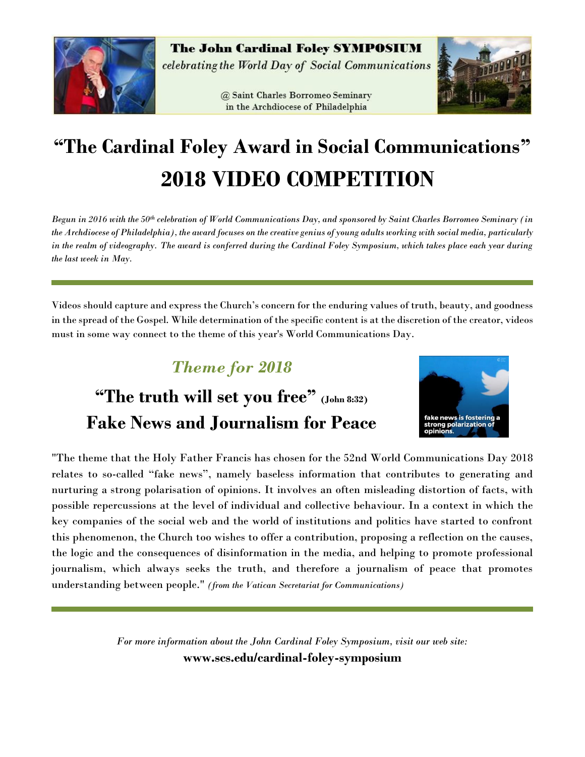

**The John Cardinal Foley SYMPOSIUM** celebrating the World Day of Social Communications

> @ Saint Charles Borromeo Seminary in the Archdiocese of Philadelphia



# **"The Cardinal Foley Award in Social Communications" 2018 VIDEO COMPETITION**

*Begun in 2016 with the 50th celebration of World Communications Day, and sponsored by Saint Charles Borromeo Seminary (in the Archdiocese of Philadelphia), the award focuses on the creative genius of young adults working with social media, particularly in the realm of videography. The award is conferred during the Cardinal Foley Symposium, which takes place each year during the last week in May.*

Videos should capture and express the Church's concern for the enduring values of truth, beauty, and goodness in the spread of the Gospel. While determination of the specific content is at the discretion of the creator, videos must in some way connect to the theme of this year's World Communications Day.

## *Theme for 2018*

**"The truth will set you free" (John 8:32) Fake News and Journalism for Peace**



"The theme that the Holy Father Francis has chosen for the 52nd World Communications Day 2018 relates to so-called "fake news", namely baseless information that contributes to generating and nurturing a strong polarisation of opinions. It involves an often misleading distortion of facts, with possible repercussions at the level of individual and collective behaviour. In a context in which the key companies of the social web and the world of institutions and politics have started to confront this phenomenon, the Church too wishes to offer a contribution, proposing a reflection on the causes, the logic and the consequences of disinformation in the media, and helping to promote professional journalism, which always seeks the truth, and therefore a journalism of peace that promotes understanding between people." *(from the Vatican Secretariat for Communications)*

> *For more information about the John Cardinal Foley Symposium, visit our web site:* **www.scs.edu/cardinal-foley-symposium**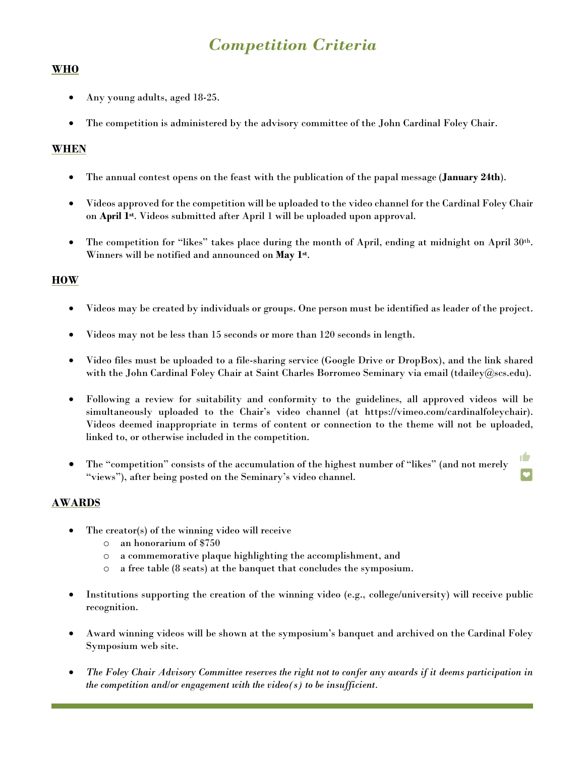# *Competition Criteria*

## **WHO**

- Any young adults, aged 18-25.
- The competition is administered by the advisory committee of the John Cardinal Foley Chair.

## **WHEN**

- The annual contest opens on the feast with the publication of the papal message (**January 24th**).
- Videos approved for the competition will be uploaded to the video channel for the Cardinal Foley Chair on **April 1st** . Videos submitted after April 1 will be uploaded upon approval.
- The competition for "likes" takes place during the month of April, ending at midnight on April 30th. Winners will be notified and announced on **May 1st** .

## **HOW**

- Videos may be created by individuals or groups. One person must be identified as leader of the project.
- Videos may not be less than 15 seconds or more than 120 seconds in length.
- Video files must be uploaded to a file-sharing service (Google Drive or DropBox), and the link shared with the John Cardinal Foley Chair at Saint Charles Borromeo Seminary via email [\(tdailey@scs.edu\)](mailto:tdailey@scs.edu).
- Following a review for suitability and conformity to the guidelines, all approved videos will be simultaneously uploaded to the Chair's video channel (at https://vimeo.com/cardinalfoleychair). Videos deemed inappropriate in terms of content or connection to the theme will not be uploaded, linked to, or otherwise included in the competition.
- ıÓ • The "competition" consists of the accumulation of the highest number of "likes" (and not merely "views"), after being posted on the Seminary's video channel.

## **AWARDS**

- The creator(s) of the winning video will receive
	- o an honorarium of \$750
	- o a commemorative plaque highlighting the accomplishment, and
	- o a free table (8 seats) at the banquet that concludes the symposium.
- Institutions supporting the creation of the winning video (e.g., college/university) will receive public recognition.
- Award winning videos will be shown at the symposium's banquet and archived on the Cardinal Foley Symposium web site.
- *The Foley Chair Advisory Committee reserves the right not to confer any awards if it deems participation in the competition and/or engagement with the video(s) to be insufficient.*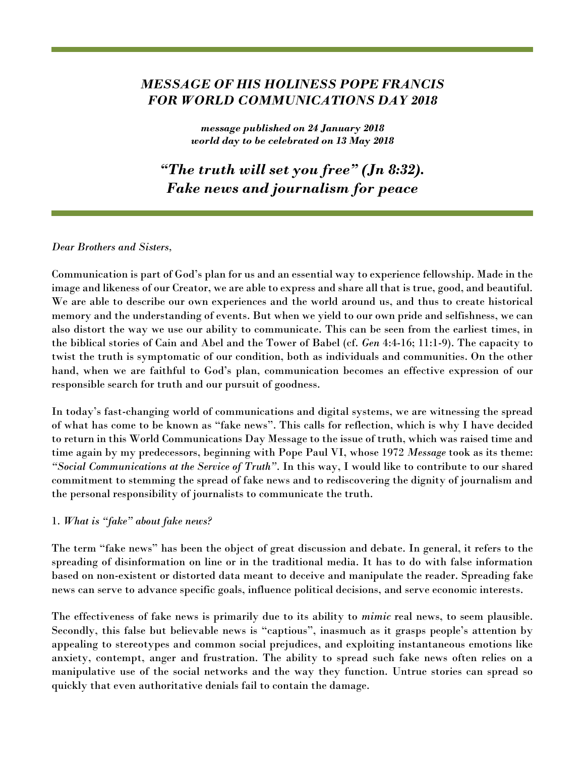## *MESSAGE OF HIS HOLINESS POPE FRANCIS FOR WORLD COMMUNICATIONS DAY 2018*

*message published on 24 January 2018 world day to be celebrated on 13 May 2018*

*"The truth will set you free" (Jn 8:32). Fake news and journalism for peace*

## *Dear Brothers and Sisters,*

Communication is part of God's plan for us and an essential way to experience fellowship. Made in the image and likeness of our Creator, we are able to express and share all that is true, good, and beautiful. We are able to describe our own experiences and the world around us, and thus to create historical memory and the understanding of events. But when we yield to our own pride and selfishness, we can also distort the way we use our ability to communicate. This can be seen from the earliest times, in the biblical stories of Cain and Abel and the Tower of Babel (cf. *Gen* 4:4-16; 11:1-9). The capacity to twist the truth is symptomatic of our condition, both as individuals and communities. On the other hand, when we are faithful to God's plan, communication becomes an effective expression of our responsible search for truth and our pursuit of goodness.

In today's fast-changing world of communications and digital systems, we are witnessing the spread of what has come to be known as "fake news". This calls for reflection, which is why I have decided to return in this World Communications Day Message to the issue of truth, which was raised time and time again by my predecessors, beginning with [Pope Paul VI,](http://w2.vatican.va/content/paul-vi/en.html) whose 1972 *[Message](http://w2.vatican.va/content/paul-vi/en/messages/communications/documents/hf_p-vi_mes_19720421_vi-com-day.html)* took as its theme: *"Social Communications at the Service of Truth"*. In this way, I would like to contribute to our shared commitment to stemming the spread of fake news and to rediscovering the dignity of journalism and the personal responsibility of journalists to communicate the truth.

## 1. *What is "fake" about fake news?*

The term "fake news" has been the object of great discussion and debate. In general, it refers to the spreading of disinformation on line or in the traditional media. It has to do with false information based on non-existent or distorted data meant to deceive and manipulate the reader. Spreading fake news can serve to advance specific goals, influence political decisions, and serve economic interests.

The effectiveness of fake news is primarily due to its ability to *mimic* real news, to seem plausible. Secondly, this false but believable news is "captious", inasmuch as it grasps people's attention by appealing to stereotypes and common social prejudices, and exploiting instantaneous emotions like anxiety, contempt, anger and frustration. The ability to spread such fake news often relies on a manipulative use of the social networks and the way they function. Untrue stories can spread so quickly that even authoritative denials fail to contain the damage.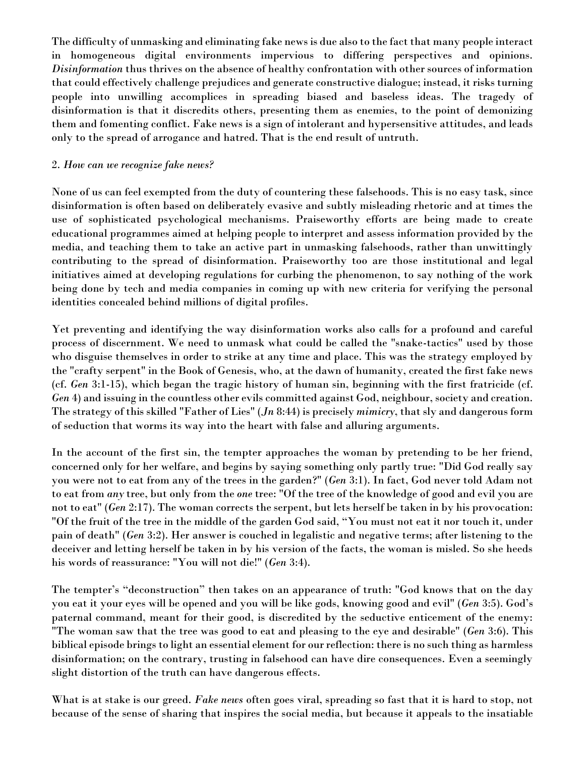The difficulty of unmasking and eliminating fake news is due also to the fact that many people interact in homogeneous digital environments impervious to differing perspectives and opinions. *Disinformation* thus thrives on the absence of healthy confrontation with other sources of information that could effectively challenge prejudices and generate constructive dialogue; instead, it risks turning people into unwilling accomplices in spreading biased and baseless ideas. The tragedy of disinformation is that it discredits others, presenting them as enemies, to the point of demonizing them and fomenting conflict. Fake news is a sign of intolerant and hypersensitive attitudes, and leads only to the spread of arrogance and hatred. That is the end result of untruth.

## 2. *How can we recognize fake news?*

None of us can feel exempted from the duty of countering these falsehoods. This is no easy task, since disinformation is often based on deliberately evasive and subtly misleading rhetoric and at times the use of sophisticated psychological mechanisms. Praiseworthy efforts are being made to create educational programmes aimed at helping people to interpret and assess information provided by the media, and teaching them to take an active part in unmasking falsehoods, rather than unwittingly contributing to the spread of disinformation. Praiseworthy too are those institutional and legal initiatives aimed at developing regulations for curbing the phenomenon, to say nothing of the work being done by tech and media companies in coming up with new criteria for verifying the personal identities concealed behind millions of digital profiles.

Yet preventing and identifying the way disinformation works also calls for a profound and careful process of discernment. We need to unmask what could be called the "snake-tactics" used by those who disguise themselves in order to strike at any time and place. This was the strategy employed by the "crafty serpent" in the Book of Genesis, who, at the dawn of humanity, created the first fake news (cf. *Gen* 3:1-15), which began the tragic history of human sin, beginning with the first fratricide (cf. *Gen* 4) and issuing in the countless other evils committed against God, neighbour, society and creation. The strategy of this skilled "Father of Lies" (*Jn* 8:44) is precisely *mimicry*, that sly and dangerous form of seduction that worms its way into the heart with false and alluring arguments.

In the account of the first sin, the tempter approaches the woman by pretending to be her friend, concerned only for her welfare, and begins by saying something only partly true: "Did God really say you were not to eat from any of the trees in the garden?" (*Gen* 3:1). In fact, God never told Adam not to eat from *any* tree, but only from the *one* tree: "Of the tree of the knowledge of good and evil you are not to eat" (*Gen* 2:17). The woman corrects the serpent, but lets herself be taken in by his provocation: "Of the fruit of the tree in the middle of the garden God said, "You must not eat it nor touch it, under pain of death" (*Gen* 3:2). Her answer is couched in legalistic and negative terms; after listening to the deceiver and letting herself be taken in by his version of the facts, the woman is misled. So she heeds his words of reassurance: "You will not die!" (*Gen* 3:4).

The tempter's "deconstruction" then takes on an appearance of truth: "God knows that on the day you eat it your eyes will be opened and you will be like gods, knowing good and evil" (*Gen* 3:5). God's paternal command, meant for their good, is discredited by the seductive enticement of the enemy: "The woman saw that the tree was good to eat and pleasing to the eye and desirable" (*Gen* 3:6). This biblical episode brings to light an essential element for our reflection: there is no such thing as harmless disinformation; on the contrary, trusting in falsehood can have dire consequences. Even a seemingly slight distortion of the truth can have dangerous effects.

What is at stake is our greed. *Fake news* often goes viral, spreading so fast that it is hard to stop, not because of the sense of sharing that inspires the social media, but because it appeals to the insatiable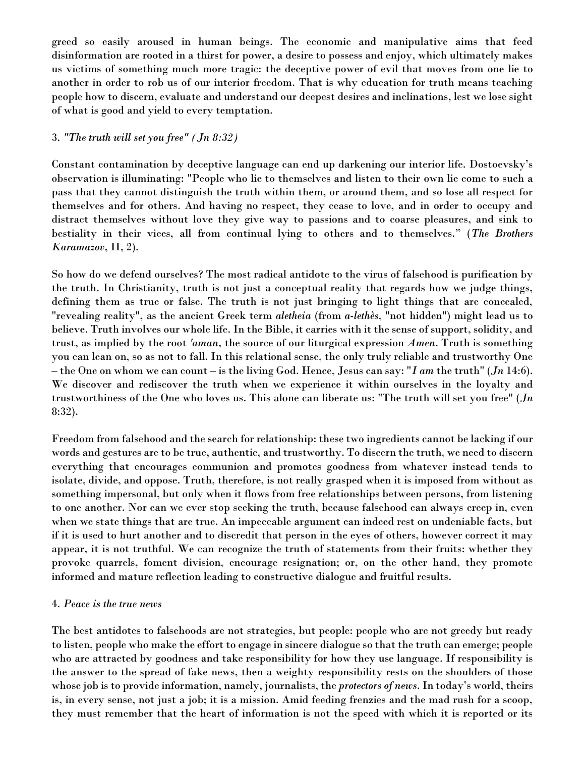greed so easily aroused in human beings. The economic and manipulative aims that feed disinformation are rooted in a thirst for power, a desire to possess and enjoy, which ultimately makes us victims of something much more tragic: the deceptive power of evil that moves from one lie to another in order to rob us of our interior freedom. That is why education for truth means teaching people how to discern, evaluate and understand our deepest desires and inclinations, lest we lose sight of what is good and yield to every temptation.

## 3. *"The truth will set you free" (Jn 8:32)*

Constant contamination by deceptive language can end up darkening our interior life. Dostoevsky's observation is illuminating: "People who lie to themselves and listen to their own lie come to such a pass that they cannot distinguish the truth within them, or around them, and so lose all respect for themselves and for others. And having no respect, they cease to love, and in order to occupy and distract themselves without love they give way to passions and to coarse pleasures, and sink to bestiality in their vices, all from continual lying to others and to themselves." (*The Brothers Karamazov*, II, 2).

So how do we defend ourselves? The most radical antidote to the virus of falsehood is purification by the truth. In Christianity, truth is not just a conceptual reality that regards how we judge things, defining them as true or false. The truth is not just bringing to light things that are concealed, "revealing reality", as the ancient Greek term *aletheia* (from *a-lethès*, "not hidden") might lead us to believe. Truth involves our whole life. In the Bible, it carries with it the sense of support, solidity, and trust, as implied by the root *'aman*, the source of our liturgical expression *Amen*. Truth is something you can lean on, so as not to fall. In this relational sense, the only truly reliable and trustworthy One – the One on whom we can count – is the living God. Hence, Jesus can say: "*I am* the truth" (*Jn* 14:6). We discover and rediscover the truth when we experience it within ourselves in the loyalty and trustworthiness of the One who loves us. This alone can liberate us: "The truth will set you free" (*Jn* 8:32).

Freedom from falsehood and the search for relationship: these two ingredients cannot be lacking if our words and gestures are to be true, authentic, and trustworthy. To discern the truth, we need to discern everything that encourages communion and promotes goodness from whatever instead tends to isolate, divide, and oppose. Truth, therefore, is not really grasped when it is imposed from without as something impersonal, but only when it flows from free relationships between persons, from listening to one another. Nor can we ever stop seeking the truth, because falsehood can always creep in, even when we state things that are true. An impeccable argument can indeed rest on undeniable facts, but if it is used to hurt another and to discredit that person in the eyes of others, however correct it may appear, it is not truthful. We can recognize the truth of statements from their fruits: whether they provoke quarrels, foment division, encourage resignation; or, on the other hand, they promote informed and mature reflection leading to constructive dialogue and fruitful results.

#### 4. *Peace is the true news*

The best antidotes to falsehoods are not strategies, but people: people who are not greedy but ready to listen, people who make the effort to engage in sincere dialogue so that the truth can emerge; people who are attracted by goodness and take responsibility for how they use language. If responsibility is the answer to the spread of fake news, then a weighty responsibility rests on the shoulders of those whose job is to provide information, namely, journalists, the *protectors of news*. In today's world, theirs is, in every sense, not just a job; it is a mission. Amid feeding frenzies and the mad rush for a scoop, they must remember that the heart of information is not the speed with which it is reported or its